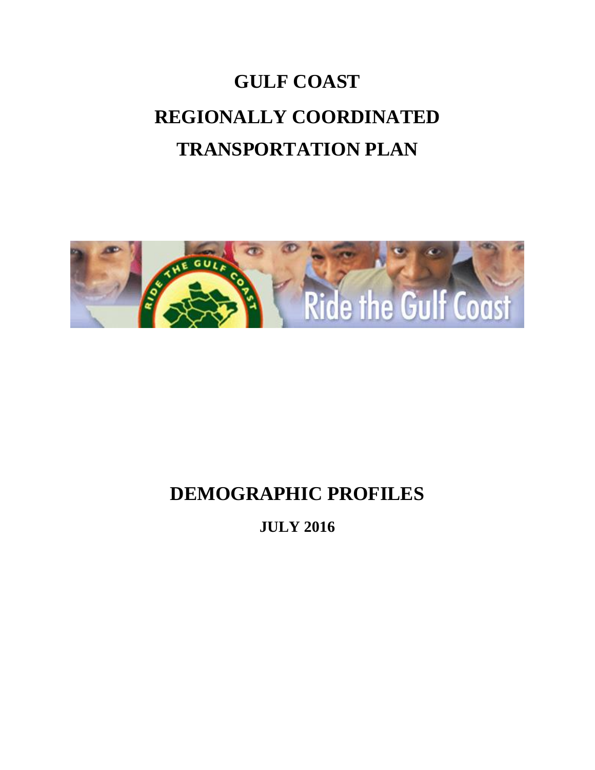# **GULF COAST REGIONALLY COORDINATED TRANSPORTATION PLAN**



## **DEMOGRAPHIC PROFILES**

**JULY 2016**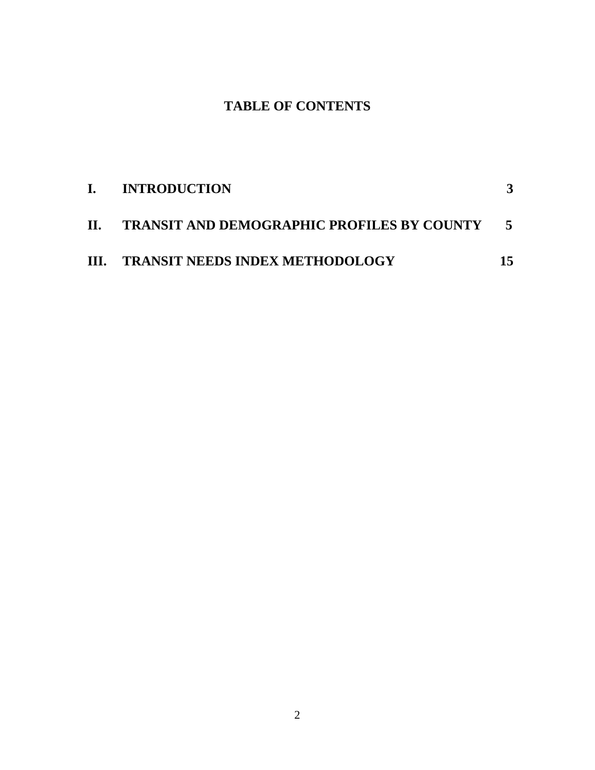## **TABLE OF CONTENTS**

| I. INTRODUCTION                                |  |
|------------------------------------------------|--|
| II. TRANSIT AND DEMOGRAPHIC PROFILES BY COUNTY |  |
| III. TRANSIT NEEDS INDEX METHODOLOGY           |  |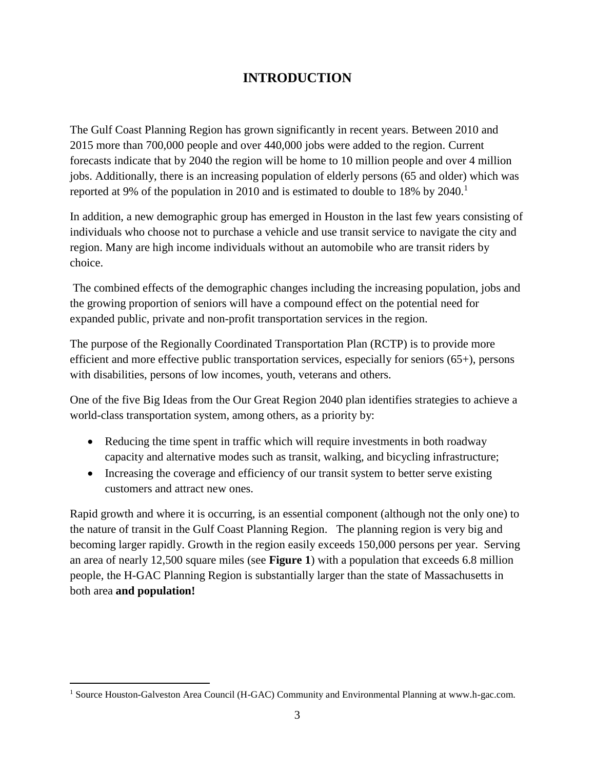## **INTRODUCTION**

The Gulf Coast Planning Region has grown significantly in recent years. Between 2010 and 2015 more than 700,000 people and over 440,000 jobs were added to the region. Current forecasts indicate that by 2040 the region will be home to 10 million people and over 4 million jobs. Additionally, there is an increasing population of elderly persons (65 and older) which was reported at 9% of the population in 2010 and is estimated to double to 18% by  $2040<sup>1</sup>$ 

In addition, a new demographic group has emerged in Houston in the last few years consisting of individuals who choose not to purchase a vehicle and use transit service to navigate the city and region. Many are high income individuals without an automobile who are transit riders by choice.

The combined effects of the demographic changes including the increasing population, jobs and the growing proportion of seniors will have a compound effect on the potential need for expanded public, private and non-profit transportation services in the region.

The purpose of the Regionally Coordinated Transportation Plan (RCTP) is to provide more efficient and more effective public transportation services, especially for seniors (65+), persons with disabilities, persons of low incomes, youth, veterans and others.

One of the five Big Ideas from the Our Great Region 2040 plan identifies strategies to achieve a world-class transportation system, among others, as a priority by:

- Reducing the time spent in traffic which will require investments in both roadway capacity and alternative modes such as transit, walking, and bicycling infrastructure;
- Increasing the coverage and efficiency of our transit system to better serve existing customers and attract new ones.

Rapid growth and where it is occurring, is an essential component (although not the only one) to the nature of transit in the Gulf Coast Planning Region. The planning region is very big and becoming larger rapidly. Growth in the region easily exceeds 150,000 persons per year. Serving an area of nearly 12,500 square miles (see **Figure 1**) with a population that exceeds 6.8 million people, the H-GAC Planning Region is substantially larger than the state of Massachusetts in both area **and population!**

 $\overline{a}$ 

<sup>&</sup>lt;sup>1</sup> Source Houston-Galveston Area Council (H-GAC) Community and Environmental Planning at www.h-gac.com.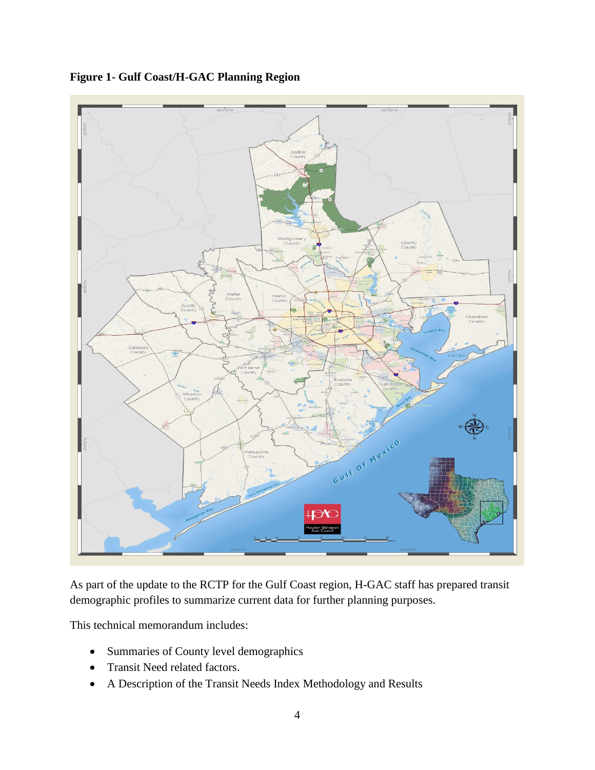

**Figure 1- Gulf Coast/H-GAC Planning Region**

As part of the update to the RCTP for the Gulf Coast region, H-GAC staff has prepared transit demographic profiles to summarize current data for further planning purposes.

This technical memorandum includes:

- Summaries of County level demographics
- Transit Need related factors.
- A Description of the Transit Needs Index Methodology and Results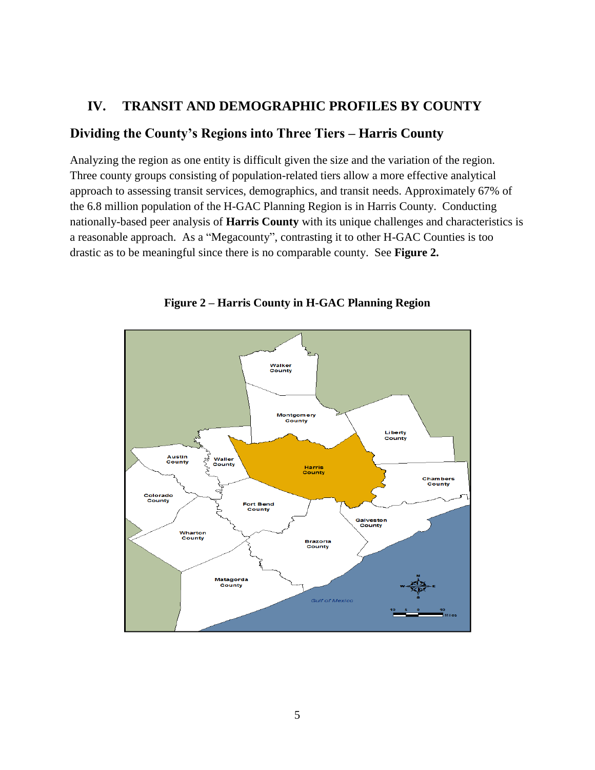#### **IV. TRANSIT AND DEMOGRAPHIC PROFILES BY COUNTY**

#### **Dividing the County's Regions into Three Tiers – Harris County**

Analyzing the region as one entity is difficult given the size and the variation of the region. Three county groups consisting of population-related tiers allow a more effective analytical approach to assessing transit services, demographics, and transit needs. Approximately 67% of the 6.8 million population of the H-GAC Planning Region is in Harris County. Conducting nationally-based peer analysis of **Harris County** with its unique challenges and characteristics is a reasonable approach. As a "Megacounty", contrasting it to other H-GAC Counties is too drastic as to be meaningful since there is no comparable county. See **Figure 2.**



**Figure 2 – Harris County in H-GAC Planning Region**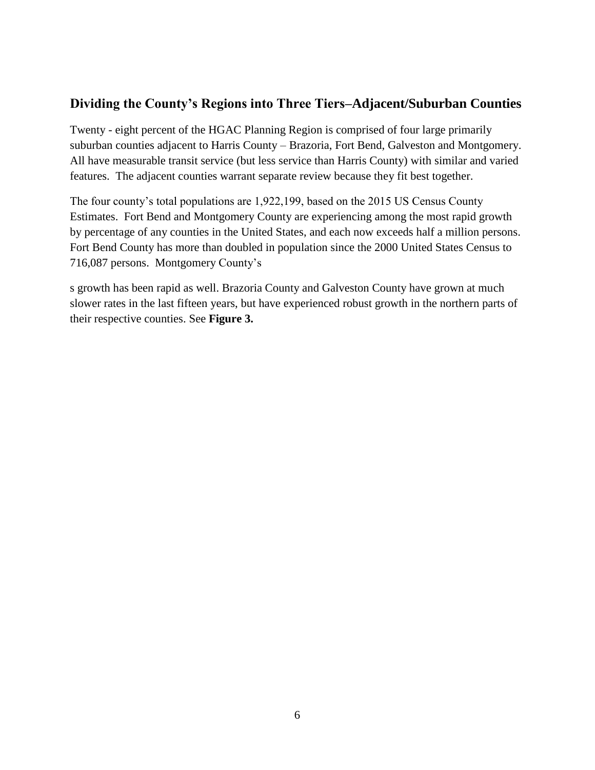## **Dividing the County's Regions into Three Tiers–Adjacent/Suburban Counties**

Twenty - eight percent of the HGAC Planning Region is comprised of four large primarily suburban counties adjacent to Harris County – Brazoria, Fort Bend, Galveston and Montgomery. All have measurable transit service (but less service than Harris County) with similar and varied features. The adjacent counties warrant separate review because they fit best together.

The four county's total populations are 1,922,199, based on the 2015 US Census County Estimates. Fort Bend and Montgomery County are experiencing among the most rapid growth by percentage of any counties in the United States, and each now exceeds half a million persons. Fort Bend County has more than doubled in population since the 2000 United States Census to 716,087 persons. Montgomery County's

s growth has been rapid as well. Brazoria County and Galveston County have grown at much slower rates in the last fifteen years, but have experienced robust growth in the northern parts of their respective counties. See **Figure 3.**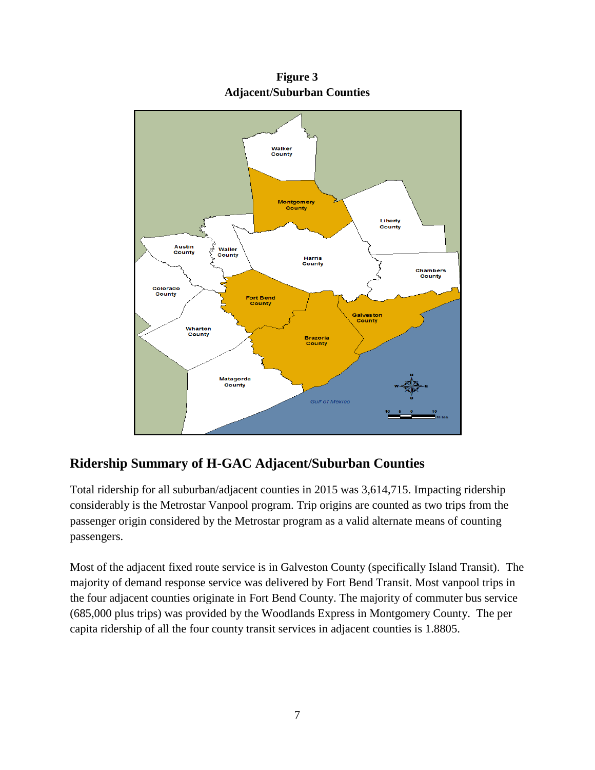

**Figure 3 Adjacent/Suburban Counties**

## **Ridership Summary of H-GAC Adjacent/Suburban Counties**

Total ridership for all suburban/adjacent counties in 2015 was 3,614,715. Impacting ridership considerably is the Metrostar Vanpool program. Trip origins are counted as two trips from the passenger origin considered by the Metrostar program as a valid alternate means of counting passengers.

Most of the adjacent fixed route service is in Galveston County (specifically Island Transit). The majority of demand response service was delivered by Fort Bend Transit. Most vanpool trips in the four adjacent counties originate in Fort Bend County. The majority of commuter bus service (685,000 plus trips) was provided by the Woodlands Express in Montgomery County. The per capita ridership of all the four county transit services in adjacent counties is 1.8805.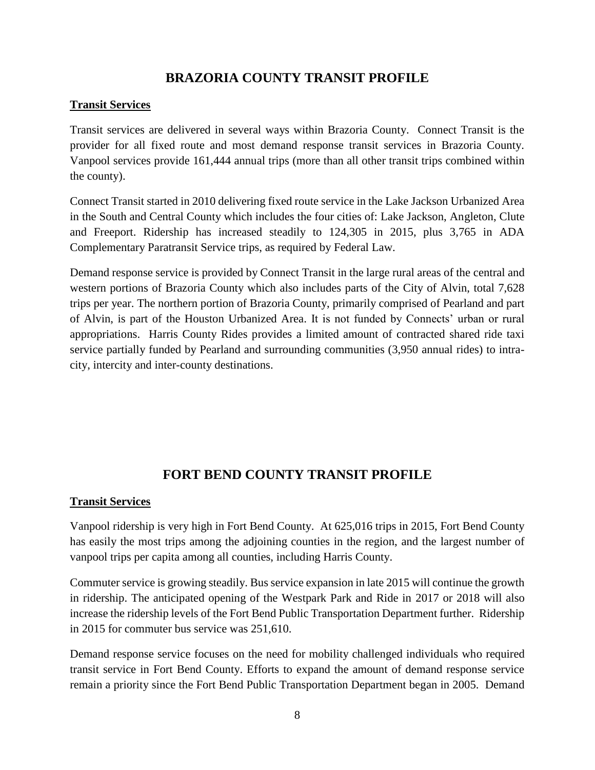## **BRAZORIA COUNTY TRANSIT PROFILE**

#### **Transit Services**

Transit services are delivered in several ways within Brazoria County. Connect Transit is the provider for all fixed route and most demand response transit services in Brazoria County. Vanpool services provide 161,444 annual trips (more than all other transit trips combined within the county).

Connect Transit started in 2010 delivering fixed route service in the Lake Jackson Urbanized Area in the South and Central County which includes the four cities of: Lake Jackson, Angleton, Clute and Freeport. Ridership has increased steadily to 124,305 in 2015, plus 3,765 in ADA Complementary Paratransit Service trips, as required by Federal Law.

Demand response service is provided by Connect Transit in the large rural areas of the central and western portions of Brazoria County which also includes parts of the City of Alvin, total 7,628 trips per year. The northern portion of Brazoria County, primarily comprised of Pearland and part of Alvin, is part of the Houston Urbanized Area. It is not funded by Connects' urban or rural appropriations. Harris County Rides provides a limited amount of contracted shared ride taxi service partially funded by Pearland and surrounding communities (3,950 annual rides) to intracity, intercity and inter-county destinations.

## **FORT BEND COUNTY TRANSIT PROFILE**

#### **Transit Services**

Vanpool ridership is very high in Fort Bend County. At 625,016 trips in 2015, Fort Bend County has easily the most trips among the adjoining counties in the region, and the largest number of vanpool trips per capita among all counties, including Harris County.

Commuter service is growing steadily. Bus service expansion in late 2015 will continue the growth in ridership. The anticipated opening of the Westpark Park and Ride in 2017 or 2018 will also increase the ridership levels of the Fort Bend Public Transportation Department further. Ridership in 2015 for commuter bus service was 251,610.

Demand response service focuses on the need for mobility challenged individuals who required transit service in Fort Bend County. Efforts to expand the amount of demand response service remain a priority since the Fort Bend Public Transportation Department began in 2005. Demand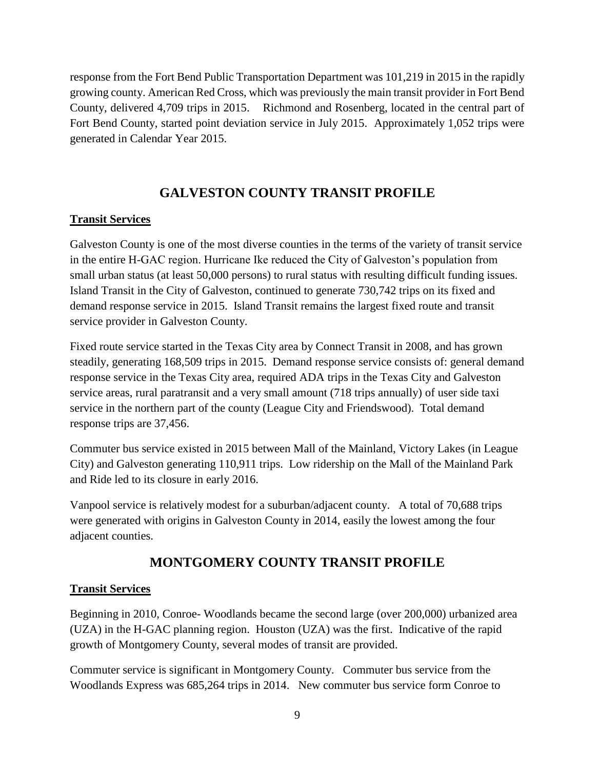response from the Fort Bend Public Transportation Department was 101,219 in 2015 in the rapidly growing county. American Red Cross, which was previously the main transit provider in Fort Bend County, delivered 4,709 trips in 2015. Richmond and Rosenberg, located in the central part of Fort Bend County, started point deviation service in July 2015. Approximately 1,052 trips were generated in Calendar Year 2015.

## **GALVESTON COUNTY TRANSIT PROFILE**

#### **Transit Services**

Galveston County is one of the most diverse counties in the terms of the variety of transit service in the entire H-GAC region. Hurricane Ike reduced the City of Galveston's population from small urban status (at least 50,000 persons) to rural status with resulting difficult funding issues. Island Transit in the City of Galveston, continued to generate 730,742 trips on its fixed and demand response service in 2015. Island Transit remains the largest fixed route and transit service provider in Galveston County.

Fixed route service started in the Texas City area by Connect Transit in 2008, and has grown steadily, generating 168,509 trips in 2015. Demand response service consists of: general demand response service in the Texas City area, required ADA trips in the Texas City and Galveston service areas, rural paratransit and a very small amount (718 trips annually) of user side taxi service in the northern part of the county (League City and Friendswood). Total demand response trips are 37,456.

Commuter bus service existed in 2015 between Mall of the Mainland, Victory Lakes (in League City) and Galveston generating 110,911 trips. Low ridership on the Mall of the Mainland Park and Ride led to its closure in early 2016.

Vanpool service is relatively modest for a suburban/adjacent county. A total of 70,688 trips were generated with origins in Galveston County in 2014, easily the lowest among the four adjacent counties.

## **MONTGOMERY COUNTY TRANSIT PROFILE**

#### **Transit Services**

Beginning in 2010, Conroe- Woodlands became the second large (over 200,000) urbanized area (UZA) in the H-GAC planning region. Houston (UZA) was the first. Indicative of the rapid growth of Montgomery County, several modes of transit are provided.

Commuter service is significant in Montgomery County. Commuter bus service from the Woodlands Express was 685,264 trips in 2014. New commuter bus service form Conroe to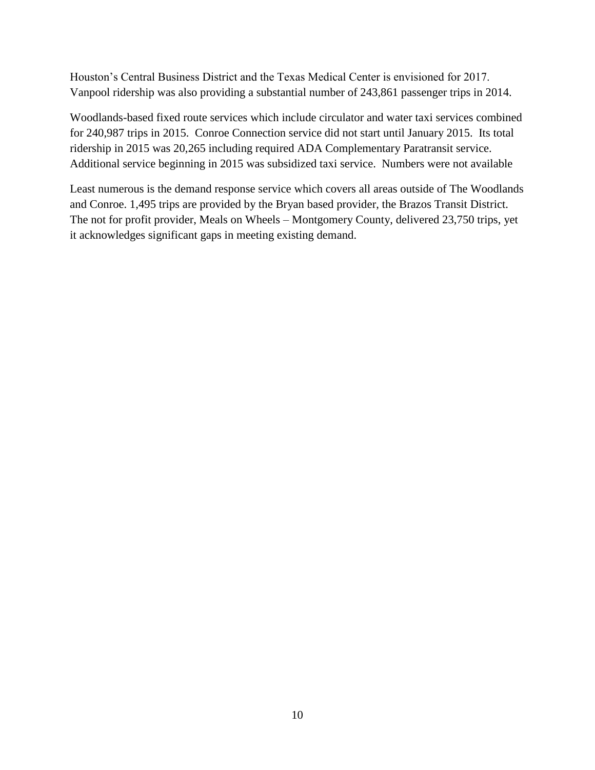Houston's Central Business District and the Texas Medical Center is envisioned for 2017. Vanpool ridership was also providing a substantial number of 243,861 passenger trips in 2014.

Woodlands-based fixed route services which include circulator and water taxi services combined for 240,987 trips in 2015. Conroe Connection service did not start until January 2015. Its total ridership in 2015 was 20,265 including required ADA Complementary Paratransit service. Additional service beginning in 2015 was subsidized taxi service. Numbers were not available

Least numerous is the demand response service which covers all areas outside of The Woodlands and Conroe. 1,495 trips are provided by the Bryan based provider, the Brazos Transit District. The not for profit provider, Meals on Wheels – Montgomery County, delivered 23,750 trips, yet it acknowledges significant gaps in meeting existing demand.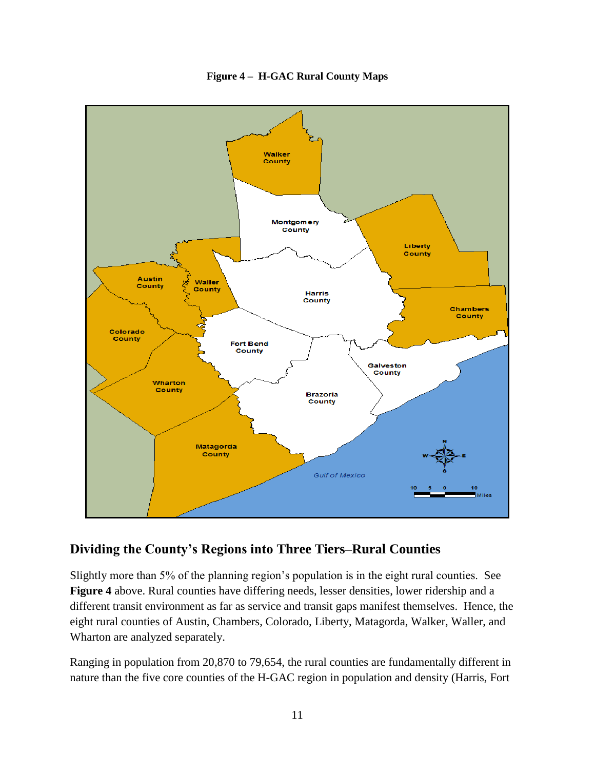

#### **Figure 4 – H-GAC Rural County Maps**

#### **Dividing the County's Regions into Three Tiers–Rural Counties**

Slightly more than 5% of the planning region's population is in the eight rural counties. See **Figure 4** above. Rural counties have differing needs, lesser densities, lower ridership and a different transit environment as far as service and transit gaps manifest themselves. Hence, the eight rural counties of Austin, Chambers, Colorado, Liberty, Matagorda, Walker, Waller, and Wharton are analyzed separately.

Ranging in population from 20,870 to 79,654, the rural counties are fundamentally different in nature than the five core counties of the H-GAC region in population and density (Harris, Fort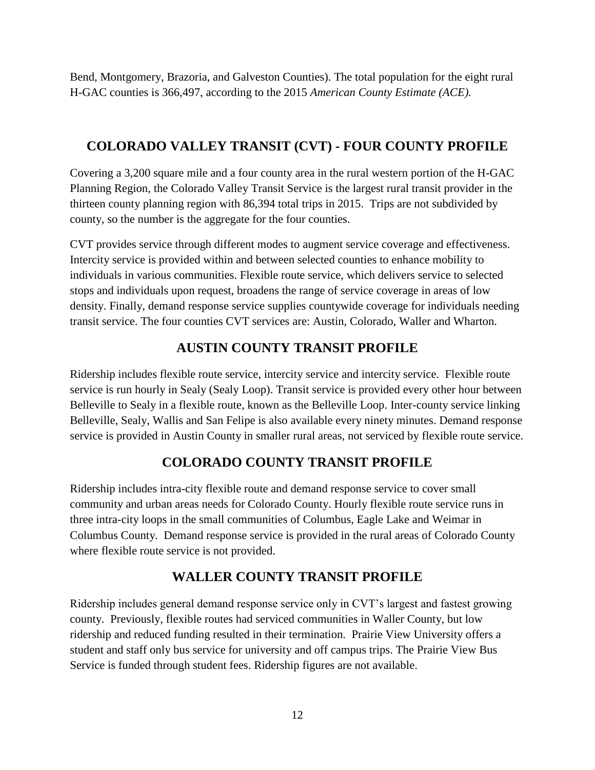Bend, Montgomery, Brazoria, and Galveston Counties). The total population for the eight rural H-GAC counties is 366,497, according to the 2015 *American County Estimate (ACE).* 

## **COLORADO VALLEY TRANSIT (CVT) - FOUR COUNTY PROFILE**

Covering a 3,200 square mile and a four county area in the rural western portion of the H-GAC Planning Region, the Colorado Valley Transit Service is the largest rural transit provider in the thirteen county planning region with 86,394 total trips in 2015. Trips are not subdivided by county, so the number is the aggregate for the four counties.

CVT provides service through different modes to augment service coverage and effectiveness. Intercity service is provided within and between selected counties to enhance mobility to individuals in various communities. Flexible route service, which delivers service to selected stops and individuals upon request, broadens the range of service coverage in areas of low density. Finally, demand response service supplies countywide coverage for individuals needing transit service. The four counties CVT services are: Austin, Colorado, Waller and Wharton.

## **AUSTIN COUNTY TRANSIT PROFILE**

Ridership includes flexible route service, intercity service and intercity service. Flexible route service is run hourly in Sealy (Sealy Loop). Transit service is provided every other hour between Belleville to Sealy in a flexible route, known as the Belleville Loop. Inter-county service linking Belleville, Sealy, Wallis and San Felipe is also available every ninety minutes. Demand response service is provided in Austin County in smaller rural areas, not serviced by flexible route service.

## **COLORADO COUNTY TRANSIT PROFILE**

Ridership includes intra-city flexible route and demand response service to cover small community and urban areas needs for Colorado County. Hourly flexible route service runs in three intra-city loops in the small communities of Columbus, Eagle Lake and Weimar in Columbus County. Demand response service is provided in the rural areas of Colorado County where flexible route service is not provided.

## **WALLER COUNTY TRANSIT PROFILE**

Ridership includes general demand response service only in CVT's largest and fastest growing county. Previously, flexible routes had serviced communities in Waller County, but low ridership and reduced funding resulted in their termination. Prairie View University offers a student and staff only bus service for university and off campus trips. The Prairie View Bus Service is funded through student fees. Ridership figures are not available.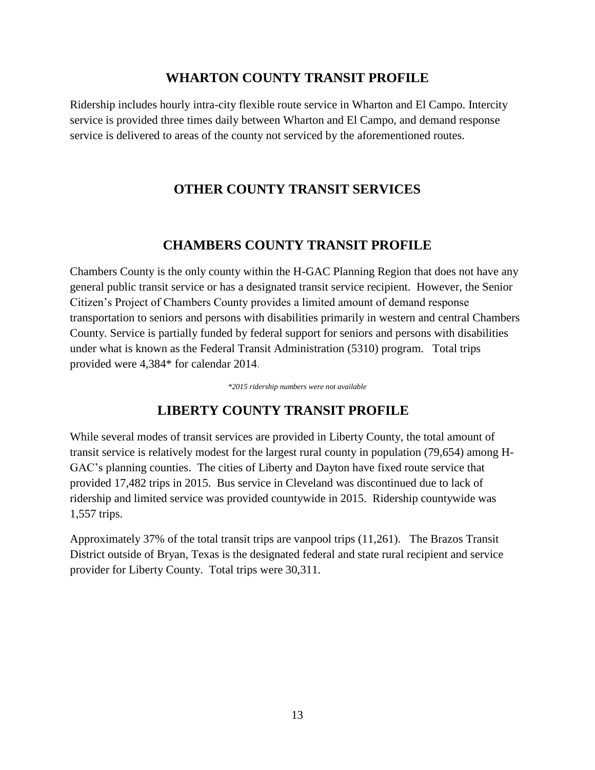#### **WHARTON COUNTY TRANSIT PROFILE**

Ridership includes hourly intra-city flexible route service in Wharton and El Campo. Intercity service is provided three times daily between Wharton and El Campo, and demand response service is delivered to areas of the county not serviced by the aforementioned routes.

## **OTHER COUNTY TRANSIT SERVICES**

#### **CHAMBERS COUNTY TRANSIT PROFILE**

Chambers County is the only county within the H-GAC Planning Region that does not have any general public transit service or has a designated transit service recipient. However, the Senior Citizen's Project of Chambers County provides a limited amount of demand response transportation to seniors and persons with disabilities primarily in western and central Chambers County. Service is partially funded by federal support for seniors and persons with disabilities under what is known as the Federal Transit Administration (5310) program. Total trips provided were 4,384\* for calendar 2014.

*\*2015 ridership numbers were not available*

## **LIBERTY COUNTY TRANSIT PROFILE**

While several modes of transit services are provided in Liberty County, the total amount of transit service is relatively modest for the largest rural county in population (79,654) among H-GAC's planning counties. The cities of Liberty and Dayton have fixed route service that provided 17,482 trips in 2015. Bus service in Cleveland was discontinued due to lack of ridership and limited service was provided countywide in 2015. Ridership countywide was 1,557 trips.

Approximately 37% of the total transit trips are vanpool trips (11,261). The Brazos Transit District outside of Bryan, Texas is the designated federal and state rural recipient and service provider for Liberty County. Total trips were 30,311.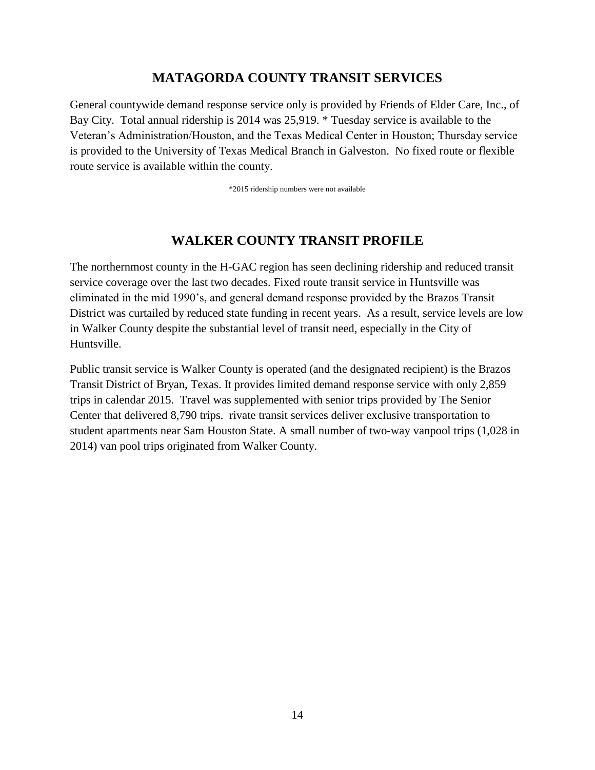#### **MATAGORDA COUNTY TRANSIT SERVICES**

General countywide demand response service only is provided by Friends of Elder Care, Inc., of Bay City. Total annual ridership is 2014 was 25,919. \* Tuesday service is available to the Veteran's Administration/Houston, and the Texas Medical Center in Houston; Thursday service is provided to the University of Texas Medical Branch in Galveston. No fixed route or flexible route service is available within the county.

\*2015 ridership numbers were not available

## **WALKER COUNTY TRANSIT PROFILE**

The northernmost county in the H-GAC region has seen declining ridership and reduced transit service coverage over the last two decades. Fixed route transit service in Huntsville was eliminated in the mid 1990's, and general demand response provided by the Brazos Transit District was curtailed by reduced state funding in recent years. As a result, service levels are low in Walker County despite the substantial level of transit need, especially in the City of Huntsville.

Public transit service is Walker County is operated (and the designated recipient) is the Brazos Transit District of Bryan, Texas. It provides limited demand response service with only 2,859 trips in calendar 2015. Travel was supplemented with senior trips provided by The Senior Center that delivered 8,790 trips. rivate transit services deliver exclusive transportation to student apartments near Sam Houston State. A small number of two-way vanpool trips (1,028 in 2014) van pool trips originated from Walker County.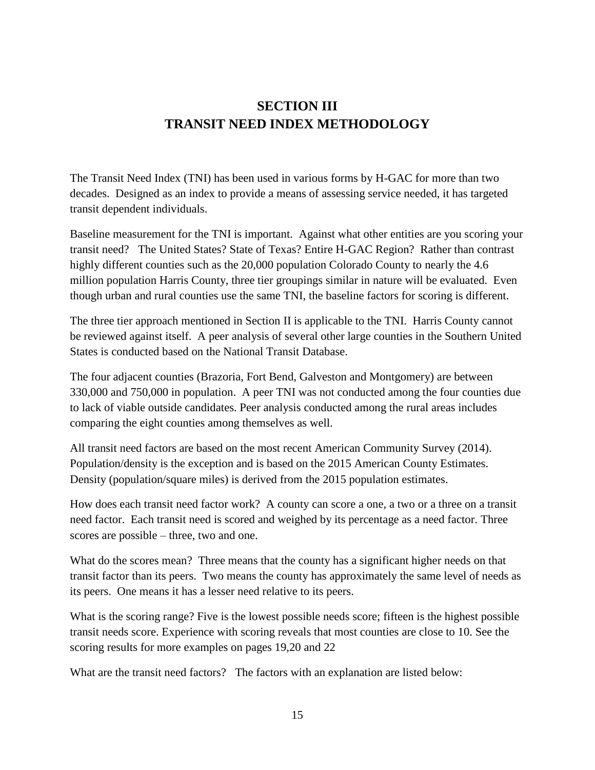## **SECTION III TRANSIT NEED INDEX METHODOLOGY**

The Transit Need Index (TNI) has been used in various forms by H-GAC for more than two decades. Designed as an index to provide a means of assessing service needed, it has targeted transit dependent individuals.

Baseline measurement for the TNI is important. Against what other entities are you scoring your transit need? The United States? State of Texas? Entire H-GAC Region? Rather than contrast highly different counties such as the 20,000 population Colorado County to nearly the 4.6 million population Harris County, three tier groupings similar in nature will be evaluated. Even though urban and rural counties use the same TNI, the baseline factors for scoring is different.

The three tier approach mentioned in Section II is applicable to the TNI. Harris County cannot be reviewed against itself. A peer analysis of several other large counties in the Southern United States is conducted based on the National Transit Database.

The four adjacent counties (Brazoria, Fort Bend, Galveston and Montgomery) are between 330,000 and 750,000 in population. A peer TNI was not conducted among the four counties due to lack of viable outside candidates. Peer analysis conducted among the rural areas includes comparing the eight counties among themselves as well.

All transit need factors are based on the most recent American Community Survey (2014). Population/density is the exception and is based on the 2015 American County Estimates. Density (population/square miles) is derived from the 2015 population estimates.

How does each transit need factor work? A county can score a one, a two or a three on a transit need factor. Each transit need is scored and weighed by its percentage as a need factor. Three scores are possible – three, two and one.

What do the scores mean? Three means that the county has a significant higher needs on that transit factor than its peers. Two means the county has approximately the same level of needs as its peers. One means it has a lesser need relative to its peers.

What is the scoring range? Five is the lowest possible needs score; fifteen is the highest possible transit needs score. Experience with scoring reveals that most counties are close to 10. See the scoring results for more examples on pages 19,20 and 22

What are the transit need factors? The factors with an explanation are listed below: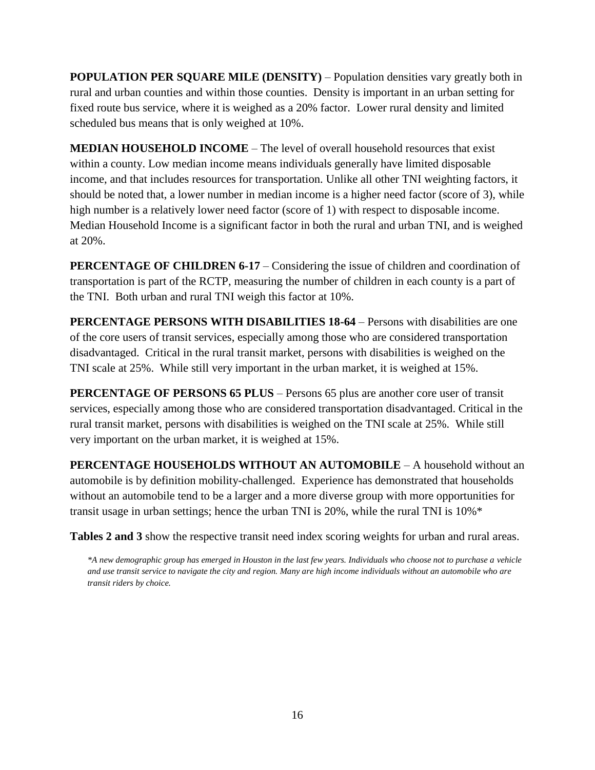**POPULATION PER SQUARE MILE (DENSITY) – Population densities vary greatly both in** rural and urban counties and within those counties. Density is important in an urban setting for fixed route bus service, where it is weighed as a 20% factor. Lower rural density and limited scheduled bus means that is only weighed at 10%.

**MEDIAN HOUSEHOLD INCOME** – The level of overall household resources that exist within a county. Low median income means individuals generally have limited disposable income, and that includes resources for transportation. Unlike all other TNI weighting factors, it should be noted that, a lower number in median income is a higher need factor (score of 3), while high number is a relatively lower need factor (score of 1) with respect to disposable income. Median Household Income is a significant factor in both the rural and urban TNI, and is weighed at 20%.

**PERCENTAGE OF CHILDREN 6-17 – Considering the issue of children and coordination of** transportation is part of the RCTP, measuring the number of children in each county is a part of the TNI. Both urban and rural TNI weigh this factor at 10%.

**PERCENTAGE PERSONS WITH DISABILITIES 18-64** – Persons with disabilities are one of the core users of transit services, especially among those who are considered transportation disadvantaged. Critical in the rural transit market, persons with disabilities is weighed on the TNI scale at 25%. While still very important in the urban market, it is weighed at 15%.

**PERCENTAGE OF PERSONS 65 PLUS** – Persons 65 plus are another core user of transit services, especially among those who are considered transportation disadvantaged. Critical in the rural transit market, persons with disabilities is weighed on the TNI scale at 25%. While still very important on the urban market, it is weighed at 15%.

**PERCENTAGE HOUSEHOLDS WITHOUT AN AUTOMOBILE** – A household without an automobile is by definition mobility-challenged. Experience has demonstrated that households without an automobile tend to be a larger and a more diverse group with more opportunities for transit usage in urban settings; hence the urban TNI is 20%, while the rural TNI is 10%\*

**Tables 2 and 3** show the respective transit need index scoring weights for urban and rural areas.

*\*A new demographic group has emerged in Houston in the last few years. Individuals who choose not to purchase a vehicle and use transit service to navigate the city and region. Many are high income individuals without an automobile who are transit riders by choice.*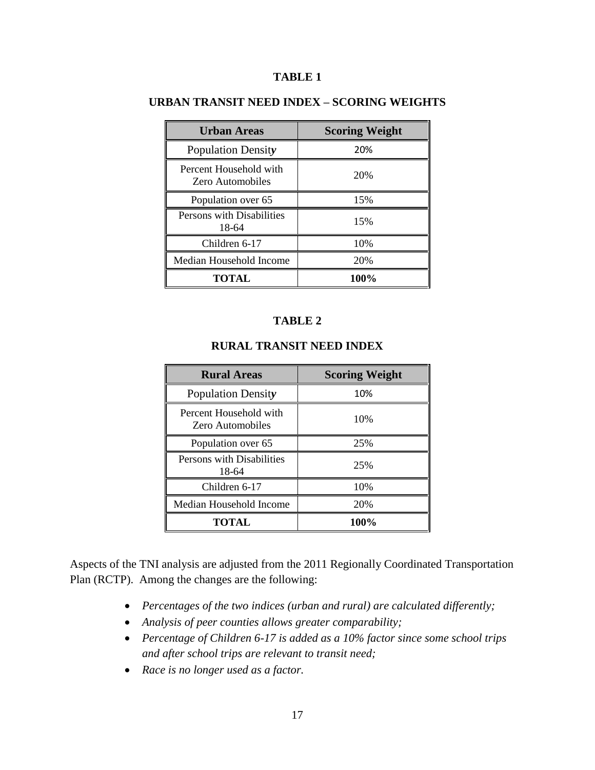#### **TABLE 1**

| <b>Urban Areas</b>                         | <b>Scoring Weight</b> |  |  |  |
|--------------------------------------------|-----------------------|--|--|--|
| <b>Population Density</b>                  | 20%                   |  |  |  |
| Percent Household with<br>Zero Automobiles | 20%                   |  |  |  |
| Population over 65                         | 15%                   |  |  |  |
| Persons with Disabilities<br>18-64         | 15%                   |  |  |  |
| Children 6-17                              | 10%                   |  |  |  |
| Median Household Income                    | 20%                   |  |  |  |
| TOTAL.                                     | 100%                  |  |  |  |

#### **URBAN TRANSIT NEED INDEX – SCORING WEIGHTS**

#### **TABLE 2**

#### **RURAL TRANSIT NEED INDEX**

| <b>Rural Areas</b>                                | <b>Scoring Weight</b> |
|---------------------------------------------------|-----------------------|
| <b>Population Density</b>                         | 10%                   |
| Percent Household with<br><b>Zero Automobiles</b> | 10%                   |
| Population over 65                                | 25%                   |
| Persons with Disabilities<br>18-64                | 25%                   |
| Children 6-17                                     | 10%                   |
| Median Household Income                           | 20%                   |
| <b>TOTAL</b>                                      | 100%                  |

Aspects of the TNI analysis are adjusted from the 2011 Regionally Coordinated Transportation Plan (RCTP). Among the changes are the following:

- *Percentages of the two indices (urban and rural) are calculated differently;*
- *Analysis of peer counties allows greater comparability;*
- *Percentage of Children 6-17 is added as a 10% factor since some school trips and after school trips are relevant to transit need;*
- *Race is no longer used as a factor.*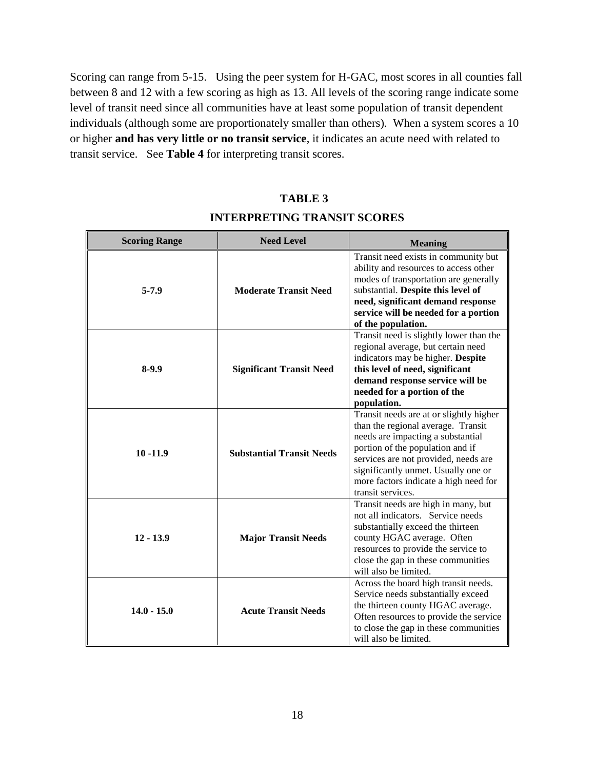Scoring can range from 5-15. Using the peer system for H-GAC, most scores in all counties fall between 8 and 12 with a few scoring as high as 13. All levels of the scoring range indicate some level of transit need since all communities have at least some population of transit dependent individuals (although some are proportionately smaller than others). When a system scores a 10 or higher **and has very little or no transit service**, it indicates an acute need with related to transit service. See **Table 4** for interpreting transit scores.

#### **TABLE 3**

#### **INTERPRETING TRANSIT SCORES**

| <b>Scoring Range</b> | <b>Need Level</b>                | <b>Meaning</b>                                                                                                                                                                                                                                                                                      |  |  |
|----------------------|----------------------------------|-----------------------------------------------------------------------------------------------------------------------------------------------------------------------------------------------------------------------------------------------------------------------------------------------------|--|--|
| $5 - 7.9$            | <b>Moderate Transit Need</b>     | Transit need exists in community but<br>ability and resources to access other<br>modes of transportation are generally<br>substantial. Despite this level of<br>need, significant demand response<br>service will be needed for a portion<br>of the population.                                     |  |  |
| $8-9.9$              | <b>Significant Transit Need</b>  | Transit need is slightly lower than the<br>regional average, but certain need<br>indicators may be higher. Despite<br>this level of need, significant<br>demand response service will be<br>needed for a portion of the<br>population.                                                              |  |  |
| $10 - 11.9$          | <b>Substantial Transit Needs</b> | Transit needs are at or slightly higher<br>than the regional average. Transit<br>needs are impacting a substantial<br>portion of the population and if<br>services are not provided, needs are<br>significantly unmet. Usually one or<br>more factors indicate a high need for<br>transit services. |  |  |
| $12 - 13.9$          | <b>Major Transit Needs</b>       | Transit needs are high in many, but<br>not all indicators. Service needs<br>substantially exceed the thirteen<br>county HGAC average. Often<br>resources to provide the service to<br>close the gap in these communities<br>will also be limited.                                                   |  |  |
| $14.0 - 15.0$        | <b>Acute Transit Needs</b>       | Across the board high transit needs.<br>Service needs substantially exceed<br>the thirteen county HGAC average.<br>Often resources to provide the service<br>to close the gap in these communities<br>will also be limited.                                                                         |  |  |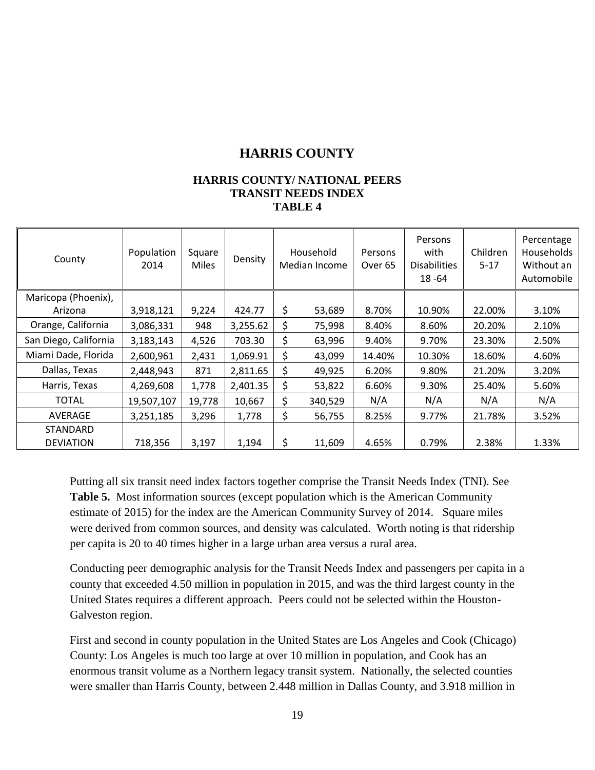## **HARRIS COUNTY**

#### **HARRIS COUNTY/ NATIONAL PEERS TRANSIT NEEDS INDEX TABLE 4**

| County                | Population<br>2014 | Square<br><b>Miles</b> | Density  | Household<br>Median Income | Persons<br>Over <sub>65</sub> | Persons<br>with<br><b>Disabilities</b><br>18 - 64 | Children<br>$5 - 17$ | Percentage<br>Households<br>Without an<br>Automobile |
|-----------------------|--------------------|------------------------|----------|----------------------------|-------------------------------|---------------------------------------------------|----------------------|------------------------------------------------------|
| Maricopa (Phoenix),   |                    |                        |          |                            |                               |                                                   |                      |                                                      |
| Arizona               | 3,918,121          | 9,224                  | 424.77   | \$<br>53,689               | 8.70%                         | 10.90%                                            | 22.00%               | 3.10%                                                |
| Orange, California    | 3,086,331          | 948                    | 3,255.62 | \$<br>75,998               | 8.40%                         | 8.60%                                             | 20.20%               | 2.10%                                                |
| San Diego, California | 3,183,143          | 4,526                  | 703.30   | \$<br>63,996               | 9.40%                         | 9.70%                                             | 23.30%               | 2.50%                                                |
| Miami Dade, Florida   | 2,600,961          | 2,431                  | 1,069.91 | \$<br>43,099               | 14.40%                        | 10.30%                                            | 18.60%               | 4.60%                                                |
| Dallas, Texas         | 2,448,943          | 871                    | 2,811.65 | \$<br>49,925               | 6.20%                         | 9.80%                                             | 21.20%               | 3.20%                                                |
| Harris, Texas         | 4,269,608          | 1,778                  | 2,401.35 | \$<br>53,822               | 6.60%                         | 9.30%                                             | 25.40%               | 5.60%                                                |
| <b>TOTAL</b>          | 19,507,107         | 19,778                 | 10,667   | \$<br>340,529              | N/A                           | N/A                                               | N/A                  | N/A                                                  |
| AVERAGE               | 3,251,185          | 3,296                  | 1,778    | \$<br>56,755               | 8.25%                         | 9.77%                                             | 21.78%               | 3.52%                                                |
| <b>STANDARD</b>       |                    |                        |          |                            |                               |                                                   |                      |                                                      |
| <b>DEVIATION</b>      | 718,356            | 3,197                  | 1,194    | \$<br>11,609               | 4.65%                         | 0.79%                                             | 2.38%                | 1.33%                                                |

Putting all six transit need index factors together comprise the Transit Needs Index (TNI). See **Table 5.** Most information sources (except population which is the American Community estimate of 2015) for the index are the American Community Survey of 2014. Square miles were derived from common sources, and density was calculated. Worth noting is that ridership per capita is 20 to 40 times higher in a large urban area versus a rural area.

Conducting peer demographic analysis for the Transit Needs Index and passengers per capita in a county that exceeded 4.50 million in population in 2015, and was the third largest county in the United States requires a different approach. Peers could not be selected within the Houston-Galveston region.

First and second in county population in the United States are Los Angeles and Cook (Chicago) County: Los Angeles is much too large at over 10 million in population, and Cook has an enormous transit volume as a Northern legacy transit system. Nationally, the selected counties were smaller than Harris County, between 2.448 million in Dallas County, and 3.918 million in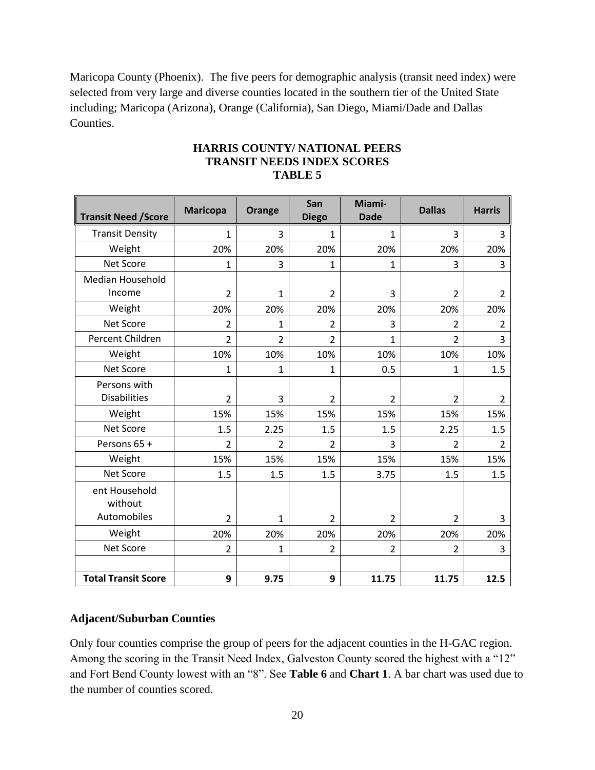Maricopa County (Phoenix). The five peers for demographic analysis (transit need index) were selected from very large and diverse counties located in the southern tier of the United State including; Maricopa (Arizona), Orange (California), San Diego, Miami/Dade and Dallas Counties.

| <b>Transit Need / Score</b>             | <b>Maricopa</b> | Orange         | San<br><b>Diego</b> | Miami-<br><b>Dade</b> | <b>Dallas</b>  | <b>Harris</b>  |
|-----------------------------------------|-----------------|----------------|---------------------|-----------------------|----------------|----------------|
| <b>Transit Density</b>                  | 1               | 3              | $\mathbf{1}$        | 1                     | 3              | 3              |
| Weight                                  | 20%             | 20%            | 20%                 | 20%                   | 20%            | 20%            |
| <b>Net Score</b>                        | 1               | 3              | 1                   | 1                     | 3              | 3              |
| <b>Median Household</b>                 |                 |                |                     |                       |                |                |
| Income                                  | $\overline{2}$  | $\mathbf{1}$   | $\overline{2}$      | 3                     | $\overline{2}$ | $\overline{2}$ |
| Weight                                  | 20%             | 20%            | 20%                 | 20%                   | 20%            | 20%            |
| <b>Net Score</b>                        | $\overline{2}$  | $\mathbf{1}$   | $\overline{2}$      | 3                     | $\overline{2}$ | $\overline{2}$ |
| Percent Children                        | $\overline{2}$  | $\overline{2}$ | $\overline{2}$      | $\overline{1}$        | $\overline{2}$ | 3              |
| Weight                                  | 10%             | 10%            | 10%                 | 10%                   | 10%            | 10%            |
| <b>Net Score</b>                        | $\mathbf{1}$    | $\mathbf{1}$   | $\mathbf 1$         | 0.5                   | $\mathbf{1}$   | 1.5            |
| Persons with                            |                 |                |                     |                       |                |                |
| <b>Disabilities</b>                     | $\overline{2}$  | 3              | $\overline{2}$      | 2                     | 2              | 2              |
| Weight                                  | 15%             | 15%            | 15%                 | 15%                   | 15%            | 15%            |
| <b>Net Score</b>                        | 1.5             | 2.25           | 1.5                 | 1.5                   | 2.25           | 1.5            |
| Persons 65 +                            | $\overline{2}$  | $\overline{2}$ | $\overline{2}$      | 3                     | $\overline{2}$ | $\overline{2}$ |
| Weight                                  | 15%             | 15%            | 15%                 | 15%                   | 15%            | 15%            |
| Net Score                               | 1.5             | 1.5            | 1.5                 | 3.75                  | 1.5            | 1.5            |
| ent Household<br>without<br>Automobiles | $\overline{2}$  | $\mathbf{1}$   | $\overline{2}$      | $\overline{2}$        | $\overline{2}$ | 3              |
| Weight                                  | 20%             | 20%            |                     | 20%                   | 20%            |                |
| Net Score                               |                 |                | 20%                 |                       |                | 20%<br>3       |
|                                         | $\overline{2}$  | $\mathbf{1}$   | $\overline{2}$      | $\overline{2}$        | $\overline{2}$ |                |
| <b>Total Transit Score</b>              | 9               | 9.75           | 9                   | 11.75                 | 11.75          | 12.5           |

#### **HARRIS COUNTY/ NATIONAL PEERS TRANSIT NEEDS INDEX SCORES TABLE 5**

#### **Adjacent/Suburban Counties**

Only four counties comprise the group of peers for the adjacent counties in the H-GAC region. Among the scoring in the Transit Need Index, Galveston County scored the highest with a "12" and Fort Bend County lowest with an "8". See **Table 6** and **Chart 1**. A bar chart was used due to the number of counties scored.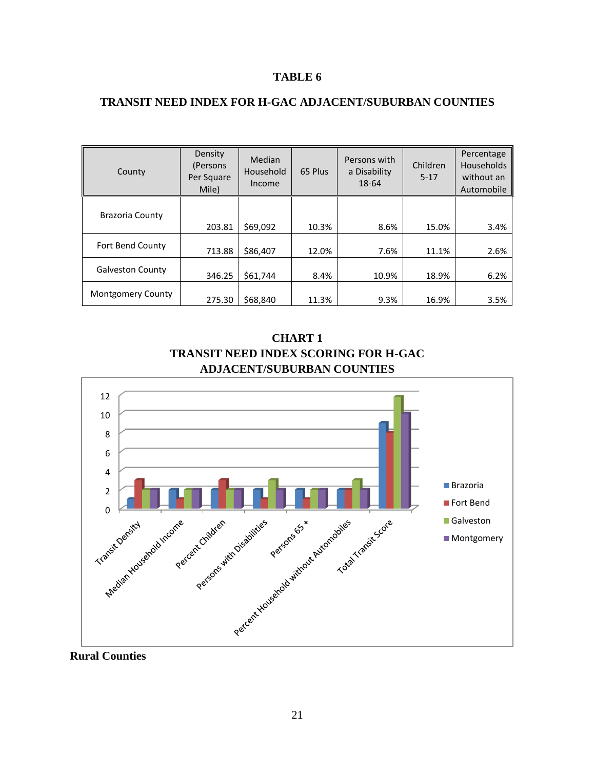#### **TABLE 6**

#### **TRANSIT NEED INDEX FOR H-GAC ADJACENT/SUBURBAN COUNTIES**

| County                   | Density<br>(Persons<br>Per Square<br>Mile) | Median<br>Household<br>Income | 65 Plus | Persons with<br>a Disability<br>18-64 | Children<br>$5 - 17$ | Percentage<br><b>Households</b><br>without an<br>Automobile |
|--------------------------|--------------------------------------------|-------------------------------|---------|---------------------------------------|----------------------|-------------------------------------------------------------|
| <b>Brazoria County</b>   | 203.81                                     | \$69.092                      | 10.3%   | 8.6%                                  | 15.0%                | 3.4%                                                        |
| Fort Bend County         | 713.88                                     | \$86,407                      | 12.0%   | 7.6%                                  | 11.1%                | 2.6%                                                        |
| <b>Galveston County</b>  | 346.25                                     | \$61,744                      | 8.4%    | 10.9%                                 | 18.9%                | 6.2%                                                        |
| <b>Montgomery County</b> | 275.30                                     | \$68,840                      | 11.3%   | 9.3%                                  | 16.9%                | 3.5%                                                        |

**CHART 1 TRANSIT NEED INDEX SCORING FOR H-GAC ADJACENT/SUBURBAN COUNTIES**



**Rural Counties**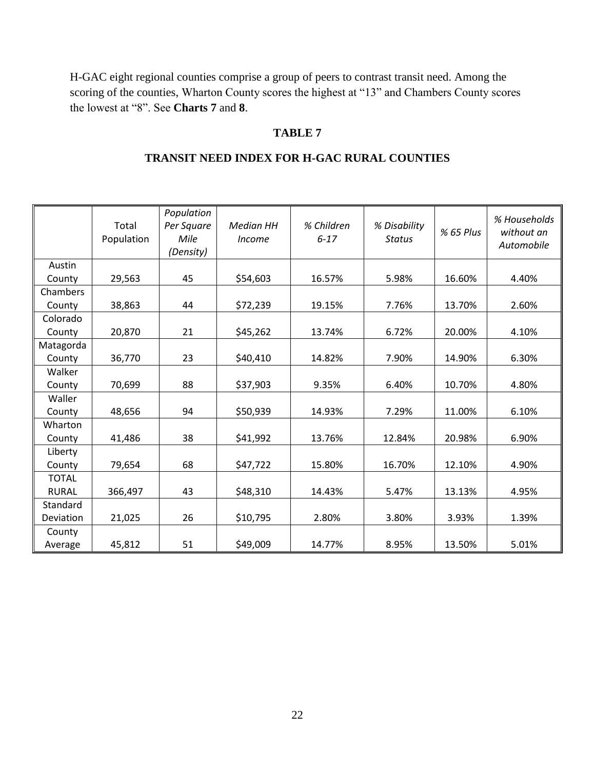H-GAC eight regional counties comprise a group of peers to contrast transit need. Among the scoring of the counties, Wharton County scores the highest at "13" and Chambers County scores the lowest at "8". See **Charts 7** and **8**.

#### **TABLE 7**

#### **TRANSIT NEED INDEX FOR H-GAC RURAL COUNTIES**

|              | Total<br>Population | Population<br>Per Square<br>Mile<br>(Density) | <b>Median HH</b><br><i>Income</i> | % Children<br>$6 - 17$ | % Disability<br><b>Status</b> | % 65 Plus | % Households<br>without an<br>Automobile |
|--------------|---------------------|-----------------------------------------------|-----------------------------------|------------------------|-------------------------------|-----------|------------------------------------------|
| Austin       |                     |                                               |                                   |                        |                               |           |                                          |
| County       | 29,563              | 45                                            | \$54,603                          | 16.57%                 | 5.98%                         | 16.60%    | 4.40%                                    |
| Chambers     |                     |                                               |                                   |                        |                               |           |                                          |
| County       | 38,863              | 44                                            | \$72,239                          | 19.15%                 | 7.76%                         | 13.70%    | 2.60%                                    |
| Colorado     |                     |                                               |                                   |                        |                               |           |                                          |
| County       | 20,870              | 21                                            | \$45,262                          | 13.74%                 | 6.72%                         | 20.00%    | 4.10%                                    |
| Matagorda    |                     |                                               |                                   |                        |                               |           |                                          |
| County       | 36,770              | 23                                            | \$40,410                          | 14.82%                 | 7.90%                         | 14.90%    | 6.30%                                    |
| Walker       |                     |                                               |                                   |                        |                               |           |                                          |
| County       | 70,699              | 88                                            | \$37,903                          | 9.35%                  | 6.40%                         | 10.70%    | 4.80%                                    |
| Waller       |                     |                                               |                                   |                        |                               |           |                                          |
| County       | 48,656              | 94                                            | \$50,939                          | 14.93%                 | 7.29%                         | 11.00%    | 6.10%                                    |
| Wharton      |                     |                                               |                                   |                        |                               |           |                                          |
| County       | 41,486              | 38                                            | \$41,992                          | 13.76%                 | 12.84%                        | 20.98%    | 6.90%                                    |
| Liberty      |                     |                                               |                                   |                        |                               |           |                                          |
| County       | 79,654              | 68                                            | \$47,722                          | 15.80%                 | 16.70%                        | 12.10%    | 4.90%                                    |
| <b>TOTAL</b> |                     |                                               |                                   |                        |                               |           |                                          |
| <b>RURAL</b> | 366,497             | 43                                            | \$48,310                          | 14.43%                 | 5.47%                         | 13.13%    | 4.95%                                    |
| Standard     |                     |                                               |                                   |                        |                               |           |                                          |
| Deviation    | 21,025              | 26                                            | \$10,795                          | 2.80%                  | 3.80%                         | 3.93%     | 1.39%                                    |
| County       |                     |                                               |                                   |                        |                               |           |                                          |
| Average      | 45,812              | 51                                            | \$49,009                          | 14.77%                 | 8.95%                         | 13.50%    | 5.01%                                    |